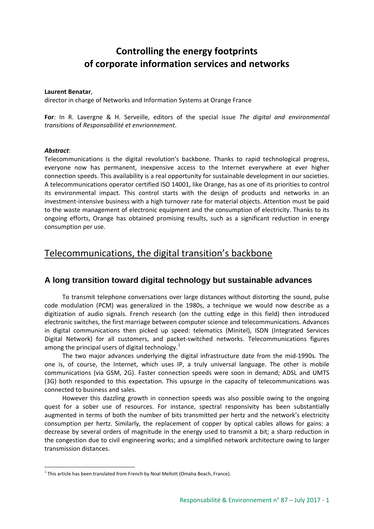# **Controlling the energy footprints of corporate information services and networks**

#### **Laurent Benatar**,

director in charge of Networks and Information Systems at Orange France

**For**: In R. Lavergne & H. Serveille, editors of the special issue *The digital and environmental transitions* of *Responsabilité et envrionnement*.

#### *Abstract*:

Telecommunications is the digital revolution's backbone. Thanks to rapid technological progress, everyone now has permanent, inexpensive access to the Internet everywhere at ever higher connection speeds. This availability is a real opportunity for sustainable development in our societies. A telecommunications operator certified ISO 14001, like Orange, has as one of its priorities to control its environmental impact. This control starts with the design of products and networks in an investment-intensive business with a high turnover rate for material objects. Attention must be paid to the waste management of electronic equipment and the consumption of electricity. Thanks to its ongoing efforts, Orange has obtained promising results, such as a significant reduction in energy consumption per use.

## Telecommunications, the digital transition's backbone

## **A long transition toward digital technology but sustainable advances**

To transmit telephone conversations over large distances without distorting the sound, pulse code modulation (PCM) was generalized in the 1980s, a technique we would now describe as a digitization of audio signals. French research (on the cutting edge in this field) then introduced electronic switches, the first marriage between computer science and telecommunications. Advances in digital communications then picked up speed: telematics (Minitel), ISDN (Integrated Services Digital Network) for all customers, and packet-switched networks. Telecommunications figures among the principal users of digital technology. $<sup>1</sup>$  $<sup>1</sup>$  $<sup>1</sup>$ </sup>

The two major advances underlying the digital infrastructure date from the mid-1990s. The one is, of course, the Internet, which uses IP, a truly universal language. The other is mobile communications (via GSM, 2G). Faster connection speeds were soon in demand; ADSL and UMTS (3G) both responded to this expectation. This upsurge in the capacity of telecommunications was connected to business and sales.

However this dazzling growth in connection speeds was also possible owing to the ongoing quest for a sober use of resources. For instance, spectral responsivity has been substantially augmented in terms of both the number of bits transmitted per hertz and the network's electricity consumption per hertz. Similarly, the replacement of copper by optical cables allows for gains: a decrease by several orders of magnitude in the energy used to transmit a bit; a sharp reduction in the congestion due to civil engineering works; and a simplified network architecture owing to larger transmission distances.

<span id="page-0-0"></span> $1$  This article has been translated from French by Noal Mellott (Omaha Beach, France).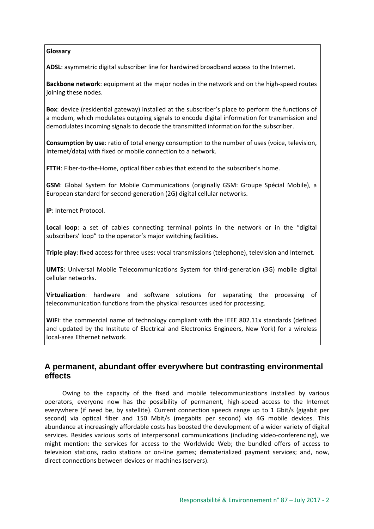#### **Glossary**

**ADSL**: asymmetric digital subscriber line for hardwired broadband access to the Internet.

**Backbone network**: equipment at the major nodes in the network and on the high-speed routes joining these nodes.

**Box**: device (residential gateway) installed at the subscriber's place to perform the functions of a modem, which modulates outgoing signals to encode digital information for transmission and demodulates incoming signals to decode the transmitted information for the subscriber.

**Consumption by use**: ratio of total energy consumption to the number of uses (voice, television, Internet/data) with fixed or mobile connection to a network.

**FTTH**: Fiber-to-the-Home, optical fiber cables that extend to the subscriber's home.

**GSM**: Global System for Mobile Communications (originally GSM: Groupe Spécial Mobile), a European standard for second-generation (2G) digital cellular networks.

**IP**: Internet Protocol.

**Local loop**: a set of cables connecting terminal points in the network or in the "digital subscribers' loop" to the operator's major switching facilities.

**Triple play**: fixed access for three uses: vocal transmissions (telephone), television and Internet.

**UMTS**: Universal Mobile Telecommunications System for third-generation (3G) mobile digital cellular networks.

**Virtualization**: hardware and software solutions for separating the processing of telecommunication functions from the physical resources used for processing.

**WiFi**: the commercial name of technology compliant with the IEEE 802.11x standards (defined and updated by the Institute of Electrical and Electronics Engineers, New York) for a wireless local-area Ethernet network.

## **A permanent, abundant offer everywhere but contrasting environmental effects**

Owing to the capacity of the fixed and mobile telecommunications installed by various operators, everyone now has the possibility of permanent, high-speed access to the Internet everywhere (if need be, by satellite). Current connection speeds range up to 1 Gbit/s (gigabit per second) via optical fiber and 150 Mbit/s (megabits per second) via 4G mobile devices. This abundance at increasingly affordable costs has boosted the development of a wider variety of digital services. Besides various sorts of interpersonal communications (including video-conferencing), we might mention: the services for access to the Worldwide Web; the bundled offers of access to television stations, radio stations or on-line games; dematerialized payment services; and, now, direct connections between devices or machines (servers).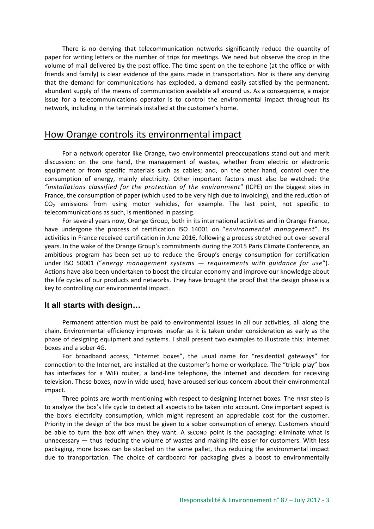There is no denying that telecommunication networks significantly reduce the quantity of paper for writing letters or the number of trips for meetings. We need but observe the drop in the volume of mail delivered by the post office. The time spent on the telephone (at the office or with friends and family) is clear evidence of the gains made in transportation. Nor is there any denying that the demand for communications has exploded, a demand easily satisfied by the permanent, abundant supply of the means of communication available all around us. As a consequence, a major issue for a telecommunications operator is to control the environmental impact throughout its network, including in the terminals installed at the customer's home.

## How Orange controls its environmental impact

For a network operator like Orange, two environmental preoccupations stand out and merit discussion: on the one hand, the management of wastes, whether from electric or electronic equipment or from specific materials such as cables; and, on the other hand, control over the consumption of energy, mainly electricity. Other important factors must also be watched: the *"installations classified for the protection of the environment*" (ICPE) on the biggest sites in France, the consumption of paper (which used to be very high due to invoicing), and the reduction of  $CO<sub>2</sub>$  emissions from using motor vehicles, for example. The last point, not specific to telecommunications as such, is mentioned in passing.

For several years now, Orange Group, both in its international activities and in Orange France, have undergone the process of certification ISO 14001 on "*environmental management*". Its activities in France received certification in June 2016, following a process stretched out over several years. In the wake of the Orange Group's commitments during the 2015 Paris Climate Conference, an ambitious program has been set up to reduce the Group's energy consumption for certification under ISO 50001 ("*energy management systems — requirements with guidance for use*"). Actions have also been undertaken to boost the circular economy and improve our knowledge about the life cycles of our products and networks. They have brought the proof that the design phase is a key to controlling our environmental impact.

#### **It all starts with design…**

Permanent attention must be paid to environmental issues in all our activities, all along the chain. Environmental efficiency improves insofar as it is taken under consideration as early as the phase of designing equipment and systems. I shall present two examples to illustrate this: Internet boxes and a sober 4G.

For broadband access, "Internet boxes", the usual name for "residential gateways" for connection to the Internet, are installed at the customer's home or workplace. The "triple play" box has interfaces for a WiFi router, a land-line telephone, the Internet and decoders for receiving television. These boxes, now in wide used, have aroused serious concern about their environmental impact.

Three points are worth mentioning with respect to designing Internet boxes. The FIRST step is to analyze the box's life cycle to detect all aspects to be taken into account. One important aspect is the box's electricity consumption, which might represent an appreciable cost for the customer. Priority in the design of the box must be given to a sober consumption of energy. Customers should be able to turn the box off when they want. A SECOND point is the packaging: eliminate what is unnecessary — thus reducing the volume of wastes and making life easier for customers. With less packaging, more boxes can be stacked on the same pallet, thus reducing the environmental impact due to transportation. The choice of cardboard for packaging gives a boost to environmentally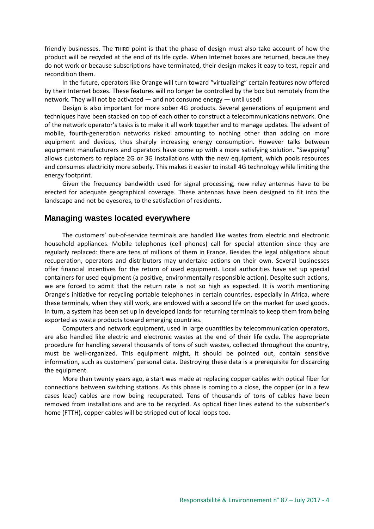friendly businesses. The THIRD point is that the phase of design must also take account of how the product will be recycled at the end of its life cycle. When Internet boxes are returned, because they do not work or because subscriptions have terminated, their design makes it easy to test, repair and recondition them.

In the future, operators like Orange will turn toward "virtualizing" certain features now offered by their Internet boxes. These features will no longer be controlled by the box but remotely from the network. They will not be activated — and not consume energy — until used!

Design is also important for more sober 4G products. Several generations of equipment and techniques have been stacked on top of each other to construct a telecommunications network. One of the network operator's tasks is to make it all work together and to manage updates. The advent of mobile, fourth-generation networks risked amounting to nothing other than adding on more equipment and devices, thus sharply increasing energy consumption. However talks between equipment manufacturers and operators have come up with a more satisfying solution. "Swapping" allows customers to replace 2G or 3G installations with the new equipment, which pools resources and consumes electricity more soberly. This makes it easier to install 4G technology while limiting the energy footprint.

Given the frequency bandwidth used for signal processing, new relay antennas have to be erected for adequate geographical coverage. These antennas have been designed to fit into the landscape and not be eyesores, to the satisfaction of residents.

#### **Managing wastes located everywhere**

The customers' out-of-service terminals are handled like wastes from electric and electronic household appliances. Mobile telephones (cell phones) call for special attention since they are regularly replaced: there are tens of millions of them in France. Besides the legal obligations about recuperation, operators and distributors may undertake actions on their own. Several businesses offer financial incentives for the return of used equipment. Local authorities have set up special containers for used equipment (a positive, environmentally responsible action). Despite such actions, we are forced to admit that the return rate is not so high as expected. It is worth mentioning Orange's initiative for recycling portable telephones in certain countries, especially in Africa, where these terminals, when they still work, are endowed with a second life on the market for used goods. In turn, a system has been set up in developed lands for returning terminals to keep them from being exported as waste products toward emerging countries.

Computers and network equipment, used in large quantities by telecommunication operators, are also handled like electric and electronic wastes at the end of their life cycle. The appropriate procedure for handling several thousands of tons of such wastes, collected throughout the country, must be well-organized. This equipment might, it should be pointed out, contain sensitive information, such as customers' personal data. Destroying these data is a prerequisite for discarding the equipment.

More than twenty years ago, a start was made at replacing copper cables with optical fiber for connections between switching stations. As this phase is coming to a close, the copper (or in a few cases lead) cables are now being recuperated. Tens of thousands of tons of cables have been removed from installations and are to be recycled. As optical fiber lines extend to the subscriber's home (FTTH), copper cables will be stripped out of local loops too.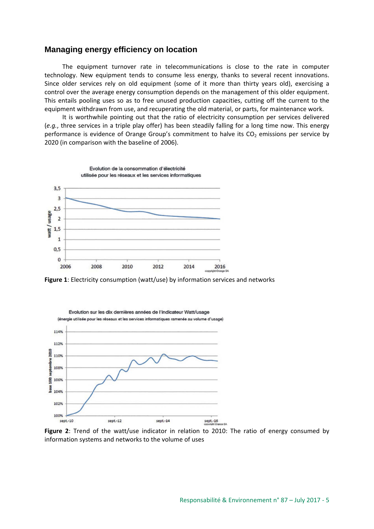#### **Managing energy efficiency on location**

The equipment turnover rate in telecommunications is close to the rate in computer technology. New equipment tends to consume less energy, thanks to several recent innovations. Since older services rely on old equipment (some of it more than thirty years old), exercising a control over the average energy consumption depends on the management of this older equipment. This entails pooling uses so as to free unused production capacities, cutting off the current to the equipment withdrawn from use, and recuperating the old material, or parts, for maintenance work.

It is worthwhile pointing out that the ratio of electricity consumption per services delivered (*e.g.*, three services in a triple play offer) has been steadily falling for a long time now. This energy performance is evidence of Orange Group's commitment to halve its  $CO<sub>2</sub>$  emissions per service by 2020 (in comparison with the baseline of 2006).



**Figure 1**: Electricity consumption (watt/use) by information services and networks



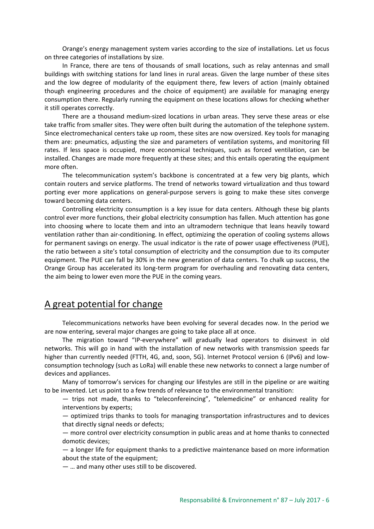Orange's energy management system varies according to the size of installations. Let us focus on three categories of installations by size.

In France, there are tens of thousands of small locations, such as relay antennas and small buildings with switching stations for land lines in rural areas. Given the large number of these sites and the low degree of modularity of the equipment there, few levers of action (mainly obtained though engineering procedures and the choice of equipment) are available for managing energy consumption there. Regularly running the equipment on these locations allows for checking whether it still operates correctly.

There are a thousand medium-sized locations in urban areas. They serve these areas or else take traffic from smaller sites. They were often built during the automation of the telephone system. Since electromechanical centers take up room, these sites are now oversized. Key tools for managing them are: pneumatics, adjusting the size and parameters of ventilation systems, and monitoring fill rates. If less space is occupied, more economical techniques, such as forced ventilation, can be installed. Changes are made more frequently at these sites; and this entails operating the equipment more often.

The telecommunication system's backbone is concentrated at a few very big plants, which contain routers and service platforms. The trend of networks toward virtualization and thus toward porting ever more applications on general-purpose servers is going to make these sites converge toward becoming data centers.

Controlling electricity consumption is a key issue for data centers. Although these big plants control ever more functions, their global electricity consumption has fallen. Much attention has gone into choosing where to locate them and into an ultramodern technique that leans heavily toward ventilation rather than air-conditioning. In effect, optimizing the operation of cooling systems allows for permanent savings on energy. The usual indicator is the rate of power usage effectiveness (PUE), the ratio between a site's total consumption of electricity and the consumption due to its computer equipment. The PUE can fall by 30% in the new generation of data centers. To chalk up success, the Orange Group has accelerated its long-term program for overhauling and renovating data centers, the aim being to lower even more the PUE in the coming years.

## A great potential for change

Telecommunications networks have been evolving for several decades now. In the period we are now entering, several major changes are going to take place all at once.

The migration toward "IP-everywhere" will gradually lead operators to disinvest in old networks. This will go in hand with the installation of new networks with transmission speeds far higher than currently needed (FTTH, 4G, and, soon, 5G). Internet Protocol version 6 (IPv6) and lowconsumption technology (such as LoRa) will enable these new networks to connect a large number of devices and appliances.

Many of tomorrow's services for changing our lifestyles are still in the pipeline or are waiting to be invented. Let us point to a few trends of relevance to the environmental transition:

— trips not made, thanks to "teleconfereincing", "telemedicine" or enhanced reality for interventions by experts;

— optimized trips thanks to tools for managing transportation infrastructures and to devices that directly signal needs or defects;

— more control over electricity consumption in public areas and at home thanks to connected domotic devices;

— a longer life for equipment thanks to a predictive maintenance based on more information about the state of the equipment;

— … and many other uses still to be discovered.